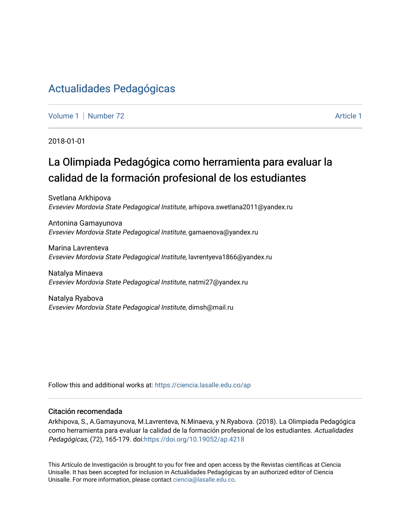## [Actualidades Pedagógicas](https://ciencia.lasalle.edu.co/ap)

[Volume 1](https://ciencia.lasalle.edu.co/ap/vol1) | [Number 72](https://ciencia.lasalle.edu.co/ap/vol1/iss72) Article 1

2018-01-01

# La Olimpiada Pedagógica como herramienta para evaluar la calidad de la formación profesional de los estudiantes

Svetlana Arkhipova Evseviev Mordovia State Pedagogical Institute, arhipova.swetlana2011@yandex.ru

Antonina Gamayunova Evseviev Mordovia State Pedagogical Institute, gamaenova@yandex.ru

Marina Lavrenteva Evseviev Mordovia State Pedagogical Institute, lavrentyeva1866@yandex.ru

Natalya Minaeva Evseviev Mordovia State Pedagogical Institute, natmi27@yandex.ru

Natalya Ryabovа Evseviev Mordovia State Pedagogical Institute, dimsh@mail.ru

Follow this and additional works at: [https://ciencia.lasalle.edu.co/ap](https://ciencia.lasalle.edu.co/ap?utm_source=ciencia.lasalle.edu.co%2Fap%2Fvol1%2Fiss72%2F1&utm_medium=PDF&utm_campaign=PDFCoverPages) 

#### Citación recomendada

Arkhipova, S., A.Gamayunova, M.Lavrenteva, N.Minaeva, y N.Ryabovа. (2018). La Olimpiada Pedagógica como herramienta para evaluar la calidad de la formación profesional de los estudiantes. Actualidades Pedagógicas, (72), 165-179. doi:<https://doi.org/10.19052/ap.4218>

This Artículo de Investigación is brought to you for free and open access by the Revistas científicas at Ciencia Unisalle. It has been accepted for inclusion in Actualidades Pedagógicas by an authorized editor of Ciencia Unisalle. For more information, please contact [ciencia@lasalle.edu.co.](mailto:ciencia@lasalle.edu.co)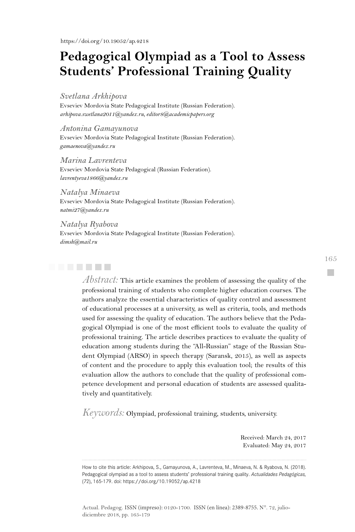## **Pedagogical Olympiad as a Tool to Assess Students' Professional Training Quality**

#### *Svetlana Arkhipova*

Evseviev Mordovia State Pedagogical Institute (Russian Federation). *arhipova.swetlana2011@yandex.ru, editor8@academicpapers.org* 

*Antonina Gamayunova*  Evseviev Mordovia State Pedagogical Institute (Russian Federation). *gamaenova@yandex.ru*

*Marina Lavrenteva*  Evseviev Mordovia State Pedagogical (Russian Federation). *lavrentyeva1866@yandex.ru*

*Natalya Minaeva*

Evseviev Mordovia State Pedagogical Institute (Russian Federation). *natmi27@yandex.ru*

#### *Natalya Ryabova*

Evseviev Mordovia State Pedagogical Institute (Russian Federation). *dimsh@mail.ru*



*Abstract:* This article examines the problem of assessing the quality of the professional training of students who complete higher education courses. The authors analyze the essential characteristics of quality control and assessment of educational processes at a university, as well as criteria, tools, and methods used for assessing the quality of education. The authors believe that the Pedagogical Olympiad is one of the most efficient tools to evaluate the quality of professional training. The article describes practices to evaluate the quality of education among students during the "All-Russian" stage of the Russian Student Olympiad (ARSO) in speech therapy (Saransk, 2015), as well as aspects of content and the procedure to apply this evaluation tool; the results of this evaluation allow the authors to conclude that the quality of professional competence development and personal education of students are assessed qualitatively and quantitatively.

*Keywords:* Olympiad, professional training, students, university.

Received: March 24, 2017 Evaluated: May 24, 2017

How to cite this article: Arkhipova, S., Gamayunova, A., Lavrenteva, M., Minaeva, N. & Ryabova, N. (2018). Pedagogical olympiad as a tool to assess students' professional training quality. *Actualidades Pedagógicas,* (72), 165-179. doi: https://doi.org/10.19052/ap.4218

165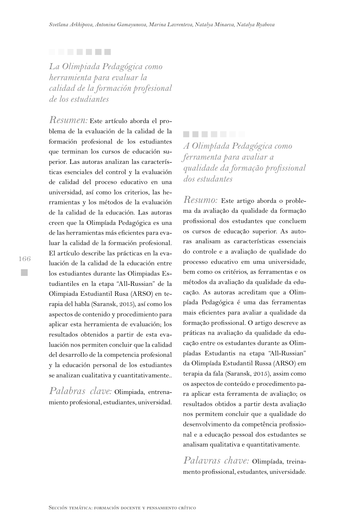#### . . . . . . .

*La Olimpiada Pedagógica como herramienta para evaluar la calidad de la formación profesional de los estudiantes*

*Resumen:* Este artículo aborda el problema de la evaluación de la calidad de la formación profesional de los estudiantes que terminan los cursos de educación superior. Las autoras analizan las características esenciales del control y la evaluación de calidad del proceso educativo en una universidad, así como los criterios, las herramientas y los métodos de la evaluación de la calidad de la educación. Las autoras creen que la Olimpíada Pedagógica es una de las herramientas más eficientes para evaluar la calidad de la formación profesional. El artículo describe las prácticas en la evaluación de la calidad de la educación entre los estudiantes durante las Olimpiadas Estudiantiles en la etapa "All-Russian" de la Olimpiada Estudiantil Rusa (ARSO) en terapia del habla (Saransk, 2015), así como los aspectos de contenido y procedimiento para aplicar esta herramienta de evaluación; los resultados obtenidos a partir de esta evaluación nos permiten concluir que la calidad del desarrollo de la competencia profesional y la educación personal de los estudiantes se analizan cualitativa y cuantitativamente..

*Palabras clave:* Olimpiada, entrenamiento profesional, estudiantes, universidad.

*A Olimpíada Pedagógica como ferramenta para avaliar a qualidade da formação profissional dos estudantes*

*Resumo:* Este artigo aborda o problema da avaliação da qualidade da formação profissional dos estudantes que concluem os cursos de educação superior. As autoras analisam as características essenciais do controle e a avaliação de qualidade do processo educativo em uma universidade, bem como os critérios, as ferramentas e os métodos da avaliação da qualidade da educação. As autoras acreditam que a Olimpíada Pedagógica é uma das ferramentas mais eficientes para avaliar a qualidade da formação profissional. O artigo descreve as práticas na avaliação da qualidade da educação entre os estudantes durante as Olimpíadas Estudantis na etapa "All-Russian" da Olimpíada Estudantil Russa (ARSO) em terapia da fala (Saransk, 2015), assim como os aspectos de conteúdo e procedimento para aplicar esta ferramenta de avaliação; os resultados obtidos a partir desta avaliação nos permitem concluir que a qualidade do desenvolvimento da competência profissional e a educação pessoal dos estudantes se analisam qualitativa e quantitativamente.

*Palavras chave:* Olimpíada, treinamento profissional, estudantes, universidade.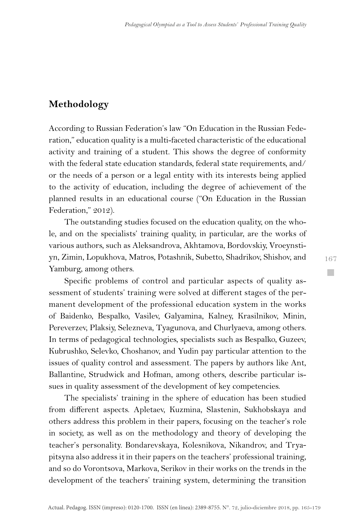## **Methodology**

According to Russian Federation's law "On Education in the Russian Federation," education quality is a multi-faceted characteristic of the educational activity and training of a student. This shows the degree of conformity with the federal state education standards, federal state requirements, and/ or the needs of a person or a legal entity with its interests being applied to the activity of education, including the degree of achievement of the planned results in an educational course ("On Education in the Russian Federation," 2012).

The outstanding studies focused on the education quality, on the whole, and on the specialists' training quality, in particular, are the works of various authors, such as Aleksandrova, Akhtamova, Bordovskiy, Vroeynstiyn, Zimin, Lopukhova, Matros, Potashnik, Subetto, Shadrikov, Shishov, and Yamburg, among others.

Specific problems of control and particular aspects of quality assessment of students' training were solved at different stages of the permanent development of the professional education system in the works of Baidenko, Bespalko, Vasilev, Galyamina, Kalney, Krasilnikov, Minin, Pereverzev, Plaksiy, Selezneva, Tyagunova, and Churlyaeva, among others. In terms of pedagogical technologies, specialists such as Bespalko, Guzeev, Kubrushko, Selevko, Choshanov, and Yudin pay particular attention to the issues of quality control and assessment. The papers by authors like Ant, Ballantine, Strudwick and Hofman, among others, describe particular issues in quality assessment of the development of key competencies.

The specialists' training in the sphere of education has been studied from different aspects. Apletaev, Kuzmina, Slastenin, Sukhobskaya and others address this problem in their papers, focusing on the teacher's role in society, as well as on the methodology and theory of developing the teacher's personality. Bondarevskaya, Kolesnikova, Nikandrov, and Tryapitsyna also address it in their papers on the teachers' professional training, and so do Vorontsova, Markova, Serikov in their works on the trends in the development of the teachers' training system, determining the transition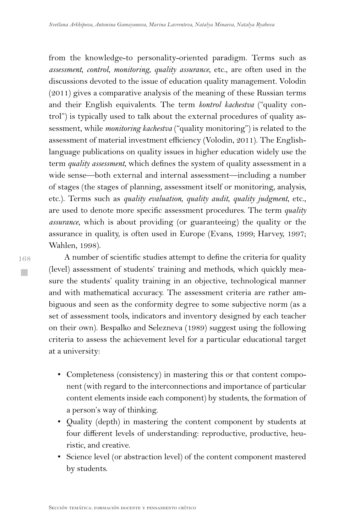from the knowledge-to personality-oriented paradigm. Terms such as *assessment*, *control*, *monitoring*, *quality assurance*, etc., are often used in the discussions devoted to the issue of education quality management. Volodin (2011) gives a comparative analysis of the meaning of these Russian terms and their English equivalents. The term *kontrol kachestva* ("quality control") is typically used to talk about the external procedures of quality assessment, while *monitoring kachestva* ("quality monitoring") is related to the assessment of material investment efficiency (Volodin, 2011). The Englishlanguage publications on quality issues in higher education widely use the term *quality assessment*, which defines the system of quality assessment in a wide sense—both external and internal assessment—including a number of stages (the stages of planning, assessment itself or monitoring, analysis, etc.). Terms such as *quality evaluation*, *quality audit*, *quality judgment*, etc., are used to denote more specific assessment procedures. The term *quality assurance*, which is about providing (or guaranteeing) the quality or the assurance in quality, is often used in Europe (Evans, 1999; Harvey, 1997; Wahlen, 1998).

A number of scientific studies attempt to define the criteria for quality (level) assessment of students' training and methods, which quickly measure the students' quality training in an objective, technological manner and with mathematical accuracy. The assessment criteria are rather ambiguous and seen as the conformity degree to some subjective norm (as a set of assessment tools, indicators and inventory designed by each teacher on their own). Bespalko and Selezneva (1989) suggest using the following criteria to assess the achievement level for a particular educational target at a university:

- Completeness (consistency) in mastering this or that content component (with regard to the interconnections and importance of particular content elements inside each component) by students, the formation of a person's way of thinking.
- Quality (depth) in mastering the content component by students at four different levels of understanding: reproductive, productive, heuristic, and creative.
- Science level (or abstraction level) of the content component mastered by students.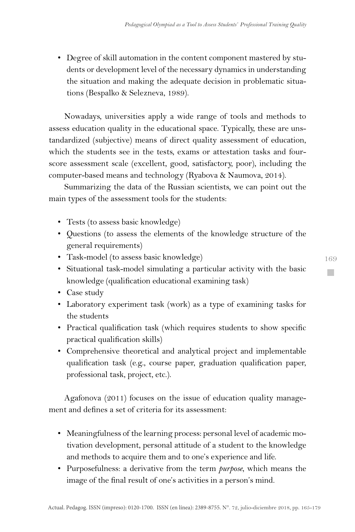• Degree of skill automation in the content component mastered by students or development level of the necessary dynamics in understanding the situation and making the adequate decision in problematic situations (Bespalko & Selezneva, 1989).

Nowadays, universities apply a wide range of tools and methods to assess education quality in the educational space. Typically, these are unstandardized (subjective) means of direct quality assessment of education, which the students see in the tests, exams or attestation tasks and fourscore assessment scale (excellent, good, satisfactory, poor), including the computer-based means and technology (Ryabova & Naumova, 2014).

Summarizing the data of the Russian scientists, we can point out the main types of the assessment tools for the students:

- Tests (to assess basic knowledge)
- Questions (to assess the elements of the knowledge structure of the general requirements)
- Task-model (to assess basic knowledge)
- Situational task-model simulating a particular activity with the basic knowledge (qualification educational examining task)
- Case study
- Laboratory experiment task (work) as a type of examining tasks for the students
- Practical qualification task (which requires students to show specific practical qualification skills)
- Comprehensive theoretical and analytical project and implementable qualification task (e.g., course paper, graduation qualification paper, professional task, project, etc.).

Agafonova (2011) focuses on the issue of education quality management and defines a set of criteria for its assessment:

- Meaningfulness of the learning process: personal level of academic motivation development, personal attitude of a student to the knowledge and methods to acquire them and to one's experience and life.
- Purposefulness: a derivative from the term *purpose*, which means the image of the final result of one's activities in a person's mind.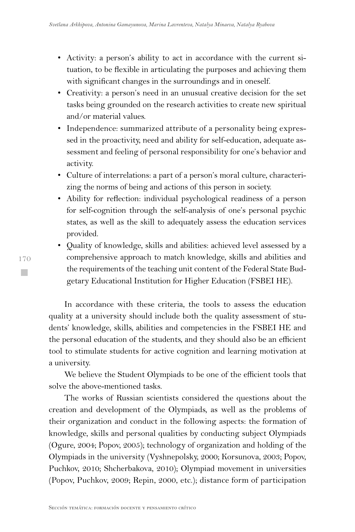- Activity: a person's ability to act in accordance with the current situation, to be flexible in articulating the purposes and achieving them with significant changes in the surroundings and in oneself.
- Creativity: a person's need in an unusual creative decision for the set tasks being grounded on the research activities to create new spiritual and/or material values.
- Independence: summarized attribute of a personality being expressed in the proactivity, need and ability for self-education, adequate assessment and feeling of personal responsibility for one's behavior and activity.
- Culture of interrelations: a part of a person's moral culture, characterizing the norms of being and actions of this person in society.
- Ability for reflection: individual psychological readiness of a person for self-cognition through the self-analysis of one's personal psychic states, as well as the skill to adequately assess the education services provided.
- Quality of knowledge, skills and abilities: achieved level assessed by a comprehensive approach to match knowledge, skills and abilities and the requirements of the teaching unit content of the Federal State Budgetary Educational Institution for Higher Education (FSBEI HE).

In accordance with these criteria, the tools to assess the education quality at a university should include both the quality assessment of students' knowledge, skills, abilities and competencies in the FSBEI HE and the personal education of the students, and they should also be an efficient tool to stimulate students for active cognition and learning motivation at a university.

We believe the Student Olympiads to be one of the efficient tools that solve the above-mentioned tasks.

The works of Russian scientists considered the questions about the creation and development of the Olympiads, as well as the problems of their organization and conduct in the following aspects: the formation of knowledge, skills and personal qualities by conducting subject Olympiads (Ogure, 2004; Popov, 2005); technology of organization and holding of the Olympiads in the university (Vyshnepolsky, 2000; Korsunova, 2003; Popov, Puchkov, 2010; Shcherbakova, 2010); Olympiad movement in universities (Popov, Puchkov, 2009; Repin, 2000, etc.); distance form of participation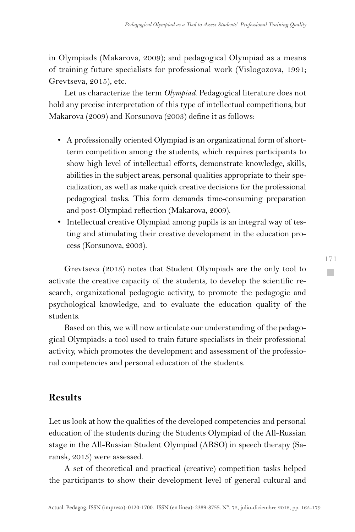in Olympiads (Makarova, 2009); and pedagogical Olympiad as a means of training future specialists for professional work (Vislogozova, 1991; Grevtseva, 2015), etc.

Let us characterize the term *Olympiad*. Pedagogical literature does not hold any precise interpretation of this type of intellectual competitions, but Makarova (2009) and Korsunova (2003) define it as follows:

- A professionally oriented Olympiad is an organizational form of shortterm competition among the students, which requires participants to show high level of intellectual efforts, demonstrate knowledge, skills, abilities in the subject areas, personal qualities appropriate to their specialization, as well as make quick creative decisions for the professional pedagogical tasks. This form demands time-consuming preparation and post-Olympiad reflection (Makarova, 2009).
- Intellectual creative Olympiad among pupils is an integral way of testing and stimulating their creative development in the education process (Korsunova, 2003).

Grevtseva (2015) notes that Student Olympiads are the only tool to activate the creative capacity of the students, to develop the scientific research, organizational pedagogic activity, to promote the pedagogic and psychological knowledge, and to evaluate the education quality of the students.

Based on this, we will now articulate our understanding of the pedagogical Olympiads: a tool used to train future specialists in their professional activity, which promotes the development and assessment of the professional competencies and personal education of the students.

### **Results**

Let us look at how the qualities of the developed competencies and personal education of the students during the Students Olympiad of the All-Russian stage in the All-Russian Student Olympiad (ARSO) in speech therapy (Saransk, 2015) were assessed.

A set of theoretical and practical (creative) competition tasks helped the participants to show their development level of general cultural and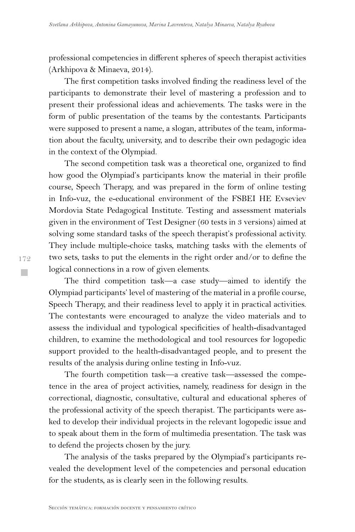professional competencies in different spheres of speech therapist activities (Arkhipova & Minaeva, 2014).

The first competition tasks involved finding the readiness level of the participants to demonstrate their level of mastering a profession and to present their professional ideas and achievements. The tasks were in the form of public presentation of the teams by the contestants. Participants were supposed to present a name, a slogan, attributes of the team, information about the faculty, university, and to describe their own pedagogic idea in the context of the Olympiad.

The second competition task was a theoretical one, organized to find how good the Olympiad's participants know the material in their profile course, Speech Therapy, and was prepared in the form of online testing in Info-vuz, the e-educational environment of the FSBEI HE Evseviev Mordovia State Pedagogical Institute. Testing and assessment materials given in the environment of Test Designer (60 tests in 3 versions) aimed at solving some standard tasks of the speech therapist's professional activity. They include multiple-choice tasks, matching tasks with the elements of two sets, tasks to put the elements in the right order and/or to define the logical connections in a row of given elements.

The third competition task—a case study—aimed to identify the Olympiad participants' level of mastering of the material in a profile course, Speech Therapy, and their readiness level to apply it in practical activities. The contestants were encouraged to analyze the video materials and to assess the individual and typological specificities of health-disadvantaged children, to examine the methodological and tool resources for logopedic support provided to the health-disadvantaged people, and to present the results of the analysis during online testing in Info-vuz.

The fourth competition task—a creative task—assessed the competence in the area of project activities, namely, readiness for design in the correctional, diagnostic, consultative, cultural and educational spheres of the professional activity of the speech therapist. The participants were asked to develop their individual projects in the relevant logopedic issue and to speak about them in the form of multimedia presentation. The task was to defend the projects chosen by the jury.

The analysis of the tasks prepared by the Olympiad's participants revealed the development level of the competencies and personal education for the students, as is clearly seen in the following results.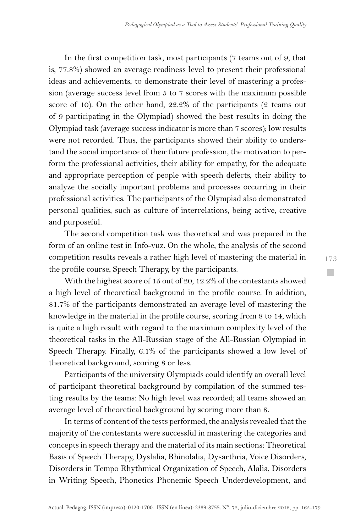In the first competition task, most participants (7 teams out of 9, that is, 77.8%) showed an average readiness level to present their professional ideas and achievements, to demonstrate their level of mastering a profession (average success level from 5 to 7 scores with the maximum possible score of 10). On the other hand, 22.2% of the participants (2 teams out of 9 participating in the Olympiad) showed the best results in doing the Olympiad task (average success indicator is more than 7 scores); low results were not recorded. Thus, the participants showed their ability to understand the social importance of their future profession, the motivation to perform the professional activities, their ability for empathy, for the adequate and appropriate perception of people with speech defects, their ability to analyze the socially important problems and processes occurring in their professional activities. The participants of the Olympiad also demonstrated personal qualities, such as culture of interrelations, being active, creative and purposeful.

The second competition task was theoretical and was prepared in the form of an online test in Info-vuz. On the whole, the analysis of the second competition results reveals a rather high level of mastering the material in the profile course, Speech Therapy, by the participants.

With the highest score of 15 out of 20, 12.2% of the contestants showed a high level of theoretical background in the profile course. In addition, 81.7% of the participants demonstrated an average level of mastering the knowledge in the material in the profile course, scoring from 8 to 14, which is quite a high result with regard to the maximum complexity level of the theoretical tasks in the All-Russian stage of the All-Russian Olympiad in Speech Therapy. Finally, 6.1% of the participants showed a low level of theoretical background, scoring 8 or less.

Participants of the university Olympiads could identify an overall level of participant theoretical background by compilation of the summed testing results by the teams: No high level was recorded; all teams showed an average level of theoretical background by scoring more than 8.

In terms of content of the tests performed, the analysis revealed that the majority of the contestants were successful in mastering the categories and concepts in speech therapy and the material of its main sections: Theoretical Basis of Speech Therapy, Dyslalia, Rhinolalia, Dysarthria, Voice Disorders, Disorders in Tempo Rhythmical Organization of Speech, Alalia, Disorders in Writing Speech, Phonetics Phonemic Speech Underdevelopment, and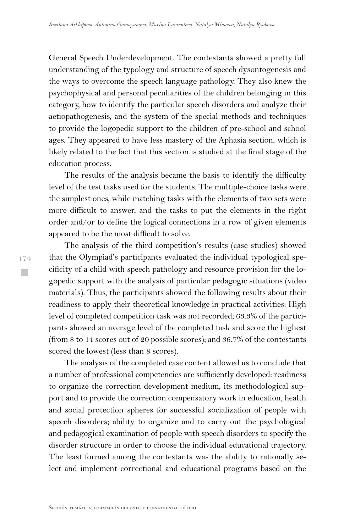General Speech Underdevelopment. The contestants showed a pretty full understanding of the typology and structure of speech dysontogenesis and the ways to overcome the speech language pathology. They also knew the psychophysical and personal peculiarities of the children belonging in this category, how to identify the particular speech disorders and analyze their aetiopathogenesis, and the system of the special methods and techniques to provide the logopedic support to the children of pre-school and school ages. They appeared to have less mastery of the Aphasia section, which is likely related to the fact that this section is studied at the final stage of the education process.

The results of the analysis became the basis to identify the difficulty level of the test tasks used for the students. The multiple-choice tasks were the simplest ones, while matching tasks with the elements of two sets were more difficult to answer, and the tasks to put the elements in the right order and/or to define the logical connections in a row of given elements appeared to be the most difficult to solve.

The analysis of the third competition's results (case studies) showed that the Olympiad's participants evaluated the individual typological specificity of a child with speech pathology and resource provision for the logopedic support with the analysis of particular pedagogic situations (video materials). Thus, the participants showed the following results about their readiness to apply their theoretical knowledge in practical activities: High level of completed competition task was not recorded; 63.3% of the participants showed an average level of the completed task and score the highest (from 8 to 14 scores out of 20 possible scores); and 36.7% of the contestants scored the lowest (less than 8 scores).

The analysis of the completed case content allowed us to conclude that a number of professional competencies are sufficiently developed: readiness to organize the correction development medium, its methodological support and to provide the correction compensatory work in education, health and social protection spheres for successful socialization of people with speech disorders; ability to organize and to carry out the psychological and pedagogical examination of people with speech disorders to specify the disorder structure in order to choose the individual educational trajectory. The least formed among the contestants was the ability to rationally select and implement correctional and educational programs based on the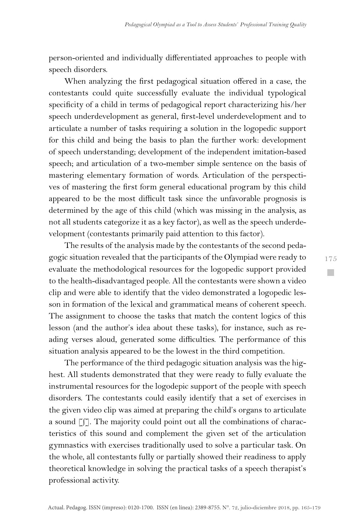person-oriented and individually differentiated approaches to people with speech disorders.

When analyzing the first pedagogical situation offered in a case, the contestants could quite successfully evaluate the individual typological specificity of a child in terms of pedagogical report characterizing his/her speech underdevelopment as general, first-level underdevelopment and to articulate a number of tasks requiring a solution in the logopedic support for this child and being the basis to plan the further work: development of speech understanding; development of the independent imitation-based speech; and articulation of a two-member simple sentence on the basis of mastering elementary formation of words. Articulation of the perspectives of mastering the first form general educational program by this child appeared to be the most difficult task since the unfavorable prognosis is determined by the age of this child (which was missing in the analysis, as not all students categorize it as a key factor), as well as the speech underdevelopment (contestants primarily paid attention to this factor).

The results of the analysis made by the contestants of the second pedagogic situation revealed that the participants of the Olympiad were ready to evaluate the methodological resources for the logopedic support provided to the health-disadvantaged people. All the contestants were shown a video clip and were able to identify that the video demonstrated a logopedic lesson in formation of the lexical and grammatical means of coherent speech. The assignment to choose the tasks that match the content logics of this lesson (and the author's idea about these tasks), for instance, such as reading verses aloud, generated some difficulties. The performance of this situation analysis appeared to be the lowest in the third competition.

The performance of the third pedagogic situation analysis was the highest. All students demonstrated that they were ready to fully evaluate the instrumental resources for the logodepic support of the people with speech disorders. The contestants could easily identify that a set of exercises in the given video clip was aimed at preparing the child's organs to articulate a sound [∫]. The majority could point out all the combinations of characteristics of this sound and complement the given set of the articulation gymnastics with exercises traditionally used to solve a particular task. On the whole, all contestants fully or partially showed their readiness to apply theoretical knowledge in solving the practical tasks of a speech therapist's professional activity.

175 **Tale**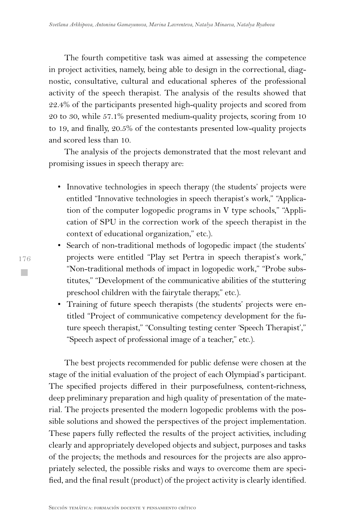The fourth competitive task was aimed at assessing the competence in project activities, namely, being able to design in the correctional, diagnostic, consultative, cultural and educational spheres of the professional activity of the speech therapist. The analysis of the results showed that 22.4% of the participants presented high-quality projects and scored from 20 to 30, while 57.1% presented medium-quality projects, scoring from 10 to 19, and finally, 20.5% of the contestants presented low-quality projects and scored less than 10.

The analysis of the projects demonstrated that the most relevant and promising issues in speech therapy are:

- Innovative technologies in speech therapy (the students' projects were entitled "Innovative technologies in speech therapist's work," "Application of the computer logopedic programs in V type schools," "Application of SPU in the correction work of the speech therapist in the context of educational organization," etc.).
- Search of non-traditional methods of logopedic impact (the students' projects were entitled "Play set Pertra in speech therapist's work," "Non-traditional methods of impact in logopedic work," "Probe substitutes," "Development of the communicative abilities of the stuttering preschool children with the fairytale therapy," etc.).
- Training of future speech therapists (the students' projects were entitled "Project of communicative competency development for the future speech therapist," "Consulting testing center 'Speech Therapist'," "Speech aspect of professional image of a teacher," etc.).

The best projects recommended for public defense were chosen at the stage of the initial evaluation of the project of each Olympiad's participant. The specified projects differed in their purposefulness, content-richness, deep preliminary preparation and high quality of presentation of the material. The projects presented the modern logopedic problems with the possible solutions and showed the perspectives of the project implementation. These papers fully reflected the results of the project activities, including clearly and appropriately developed objects and subject, purposes and tasks of the projects; the methods and resources for the projects are also appropriately selected, the possible risks and ways to overcome them are specified, and the final result (product) of the project activity is clearly identified.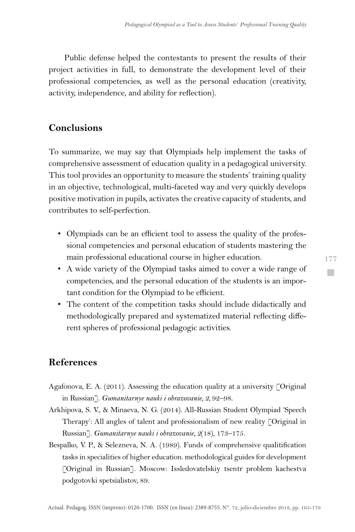Public defense helped the contestants to present the results of their project activities in full, to demonstrate the development level of their professional competencies, as well as the personal education (creativity, activity, independence, and ability for reflection).

## **Conclusions**

To summarize, we may say that Olympiads help implement the tasks of comprehensive assessment of education quality in a pedagogical university. This tool provides an opportunity to measure the students' training quality in an objective, technological, multi-faceted way and very quickly develops positive motivation in pupils, activates the creative capacity of students, and contributes to self-perfection.

- Olympiads can be an efficient tool to assess the quality of the professional competencies and personal education of students mastering the main professional educational course in higher education.
- A wide variety of the Olympiad tasks aimed to cover a wide range of competencies, and the personal education of the students is an important condition for the Olympiad to be efficient.
- The content of the competition tasks should include didactically and methodologically prepared and systematized material reflecting different spheres of professional pedagogic activities.

### **References**

- Agafonova, E. A. (2011). Assessing the education quality at a university [Original in Russian]. *Gumanitarnye nauki i obrazovanie, 2,* 92–98.
- Arkhipova, S. V., & Minaeva, N. G. (2014). All-Russian Student Olympiad 'Speech Therapy': All angles of talent and professionalism of new reality [Original in Russian]. *Gumanitarnye nauki i obrazovanie, 2*(18), 173–175.
- Bespalko, V. P., & Selezneva, N. A. (1989). Funds of comprehensive qualitification tasks in specialities of higher education. methodological guides for development [Original in Russian]. Moscow: Issledovatelskiy tsentr problem kachestva podgotovki spetsialistov, 89.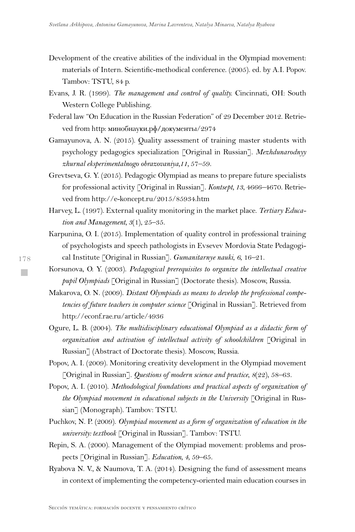- Development of the creative abilities of the individual in the Olympiad movement: materials of Intern. Scientific-methodical conference. (2005). ed. by A.I. Popov. Tambov: TSTU, 84 p.
- Evans, J. R. (1999). *The management and control of quality.* Cincinnati, OH: South Western College Publishing.
- Federal law "On Education in the Russian Federation" of 29 December 2012. Retrieved from http: минобнауки.рф/документы/2974
- Gamayunova, A. N. (2015). Quality assessment of training master students with psychology pedagogics specialization [Original in Russian]. *Mezhdunarodnyy zhurnal eksperimentalnogo obrazovaniya,11,* 57–59.
- Grevtseva, G. Y. (2015). Pedagogic Olympiad as means to prepare future specialists for professional activity [Original in Russian]. *Kontsept, 13*, 4666–4670. Retrieved from http://e-koncept.ru/2015/85934.htm
- Harvey, L. (1997). External quality monitoring in the market place. *Tertiary Education and Management, 3*(1), 25–35.
- Karpunina, O. I. (2015). Implementation of quality control in professional training of psychologists and speech pathologists in Evsevev Mordovia State Pedagogical Institute [Original in Russian]. *Gumanitarnye nauki*, *6*, 16–21.
- Korsunova, O. Y. (2003). *Pedagogical prerequisites to organize the intellectual creative pupil Olympiads* [Original in Russian] (Doctorate thesis). Moscow, Russia.
- Makarova, O. N. (2009). *Distant Olympiads as means to develop the professional competencies of future teachers in computer science* [Original in Russian]. Retrieved from http://econf.rae.ru/article/4936
- Ogure, L. B. (2004). *The multidisciplinary educational Olympiad as a didactic form of organization and activation of intellectual activity of schoolchildren* [Original in Russian] (Abstract of Doctorate thesis). Moscow, Russia.
- Popov, A. I. (2009). Monitoring creativity development in the Olympiad movement [Original in Russian]. *Questions of modern science and practice*, *8*(22), 58–63.
- Popov, A. I. (2010). *Methodological foundations and practical aspects of organization of the Olympiad movement in educational subjects in the University* [Original in Russian] (Monograph). Tambov: TSTU.
- Puchkov, N. P. (2009). *Olympiad movement as a form of organization of education in the university: textbook* [Original in Russian]. Tambov: TSTU.
- Repin, S. A. (2000). Management of the Olympiad movement: problems and prospects [Original in Russian]. *Education, 4*, 59–65.
- Ryabova N. V., & Naumova, T. A. (2014). Designing the fund of assessment means in context of implementing the competency-oriented main education courses in